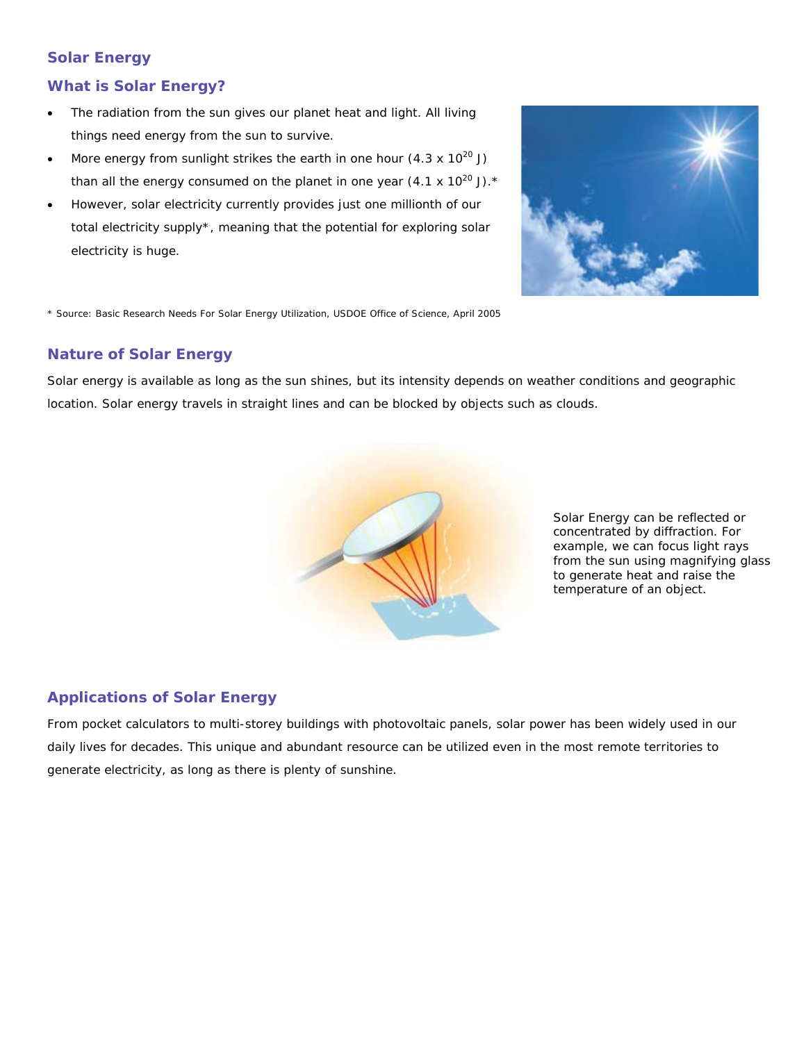## **Solar Energy**

#### **What is Solar Energy?**

- The radiation from the sun gives our planet heat and light. All living things need energy from the sun to survive.
- More energy from sunlight strikes the earth in one hour  $(4.3 \times 10^{20} \text{ J})$ than all the energy consumed on the planet in one year  $(4.1 \times 10^{20} \text{ J})$ .\*
- However, solar electricity currently provides just one millionth of our total electricity supply\*, meaning that the potential for exploring solar electricity is huge.



\* Source: Basic Research Needs For Solar Energy Utilization, USDOE Office of Science, April 2005

#### **Nature of Solar Energy**

Solar energy is available as long as the sun shines, but its intensity depends on weather conditions and geographic location. Solar energy travels in straight lines and can be blocked by objects such as clouds.



Solar Energy can be reflected or concentrated by diffraction. For example, we can focus light rays from the sun using magnifying glass to generate heat and raise the temperature of an object.

## **Applications of Solar Energy**

From pocket calculators to multi-storey buildings with photovoltaic panels, solar power has been widely used in our daily lives for decades. This unique and abundant resource can be utilized even in the most remote territories to generate electricity, as long as there is plenty of sunshine.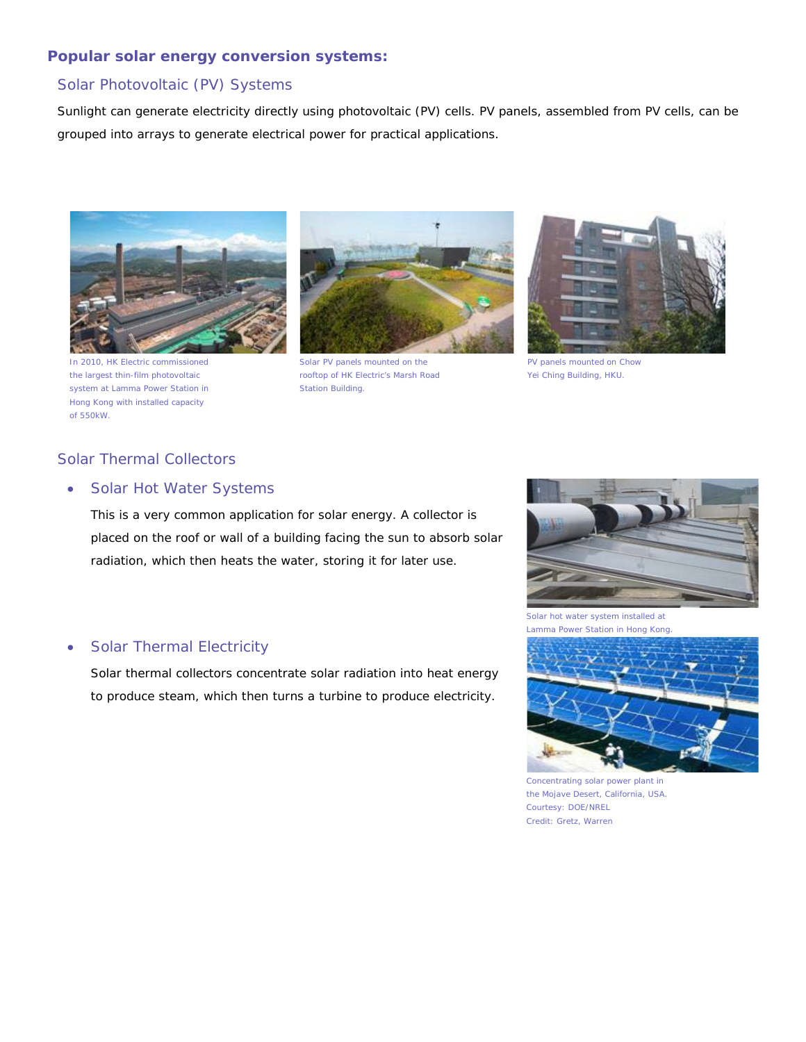#### **Popular solar energy conversion systems:**

#### Solar Photovoltaic (PV) Systems

Sunlight can generate electricity directly using photovoltaic (PV) cells. PV panels, assembled from PV cells, can be grouped into arrays to generate electrical power for practical applications.



In 2010, HK Electric commissioned the largest thin-film photovoltaic system at Lamma Power Station in Hong Kong with installed capacity of 550kW.



Solar PV panels mounted on the rooftop of HK Electric's Marsh Road Station Building.



PV panels mounted on Chow Yei Ching Building, HKU.

### Solar Thermal Collectors

#### • Solar Hot Water Systems

This is a very common application for solar energy. A collector is placed on the roof or wall of a building facing the sun to absorb solar radiation, which then heats the water, storing it for later use.

#### • Solar Thermal Electricity

Solar thermal collectors concentrate solar radiation into heat energy to produce steam, which then turns a turbine to produce electricity.



Solar hot water system installed at Lamma Power Station in Hong Kong.



Concentrating solar power plant in the Mojave Desert, California, USA. Courtesy: DOE/NREL Credit: Gretz, Warren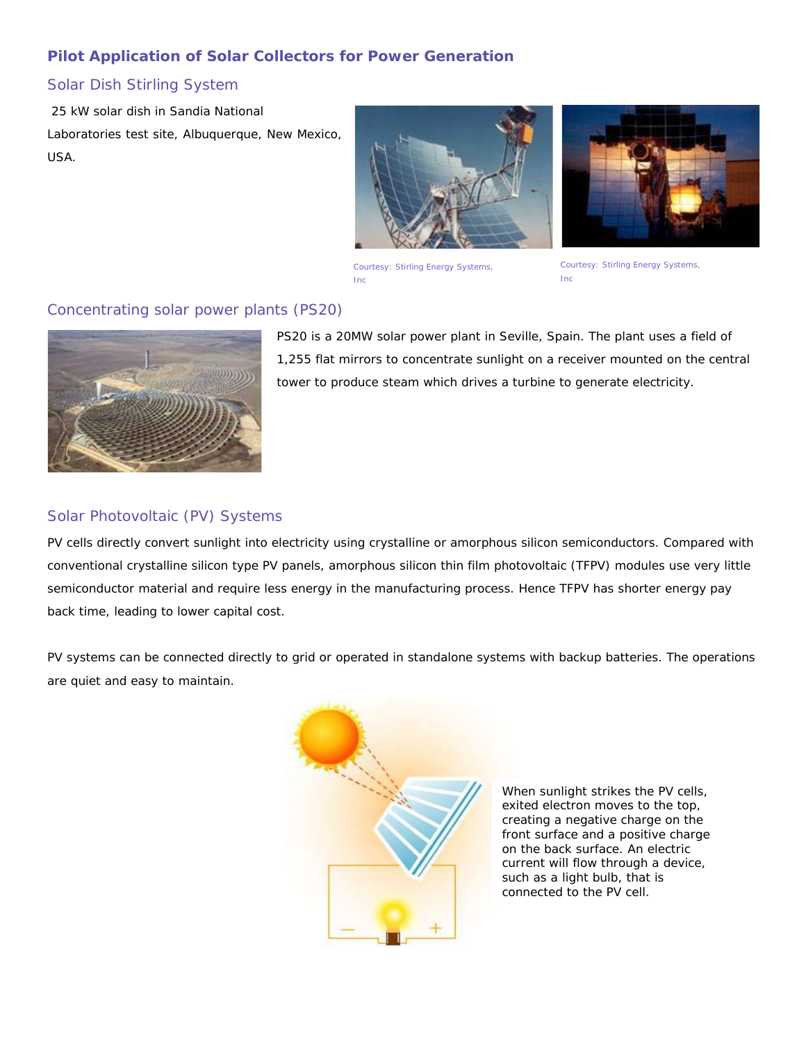# **Pilot Application of Solar Collectors for Power Generation**

### Solar Dish Stirling System

25 kW solar dish in Sandia National Laboratories test site, Albuquerque, New Mexico, USA.





Courtesy: Stirling Energy Systems, Inc

Courtesy: Stirling Energy Systems, Inc

### Concentrating solar power plants (PS20)



PS20 is a 20MW solar power plant in Seville, Spain. The plant uses a field of 1,255 flat mirrors to concentrate sunlight on a receiver mounted on the central tower to produce steam which drives a turbine to generate electricity.

#### Solar Photovoltaic (PV) Systems

PV cells directly convert sunlight into electricity using crystalline or amorphous silicon semiconductors. Compared with conventional crystalline silicon type PV panels, amorphous silicon thin film photovoltaic (TFPV) modules use very little semiconductor material and require less energy in the manufacturing process. Hence TFPV has shorter energy pay back time, leading to lower capital cost.

PV systems can be connected directly to grid or operated in standalone systems with backup batteries. The operations are quiet and easy to maintain.



When sunlight strikes the PV cells, exited electron moves to the top, creating a negative charge on the front surface and a positive charge on the back surface. An electric current will flow through a device, such as a light bulb, that is connected to the PV cell.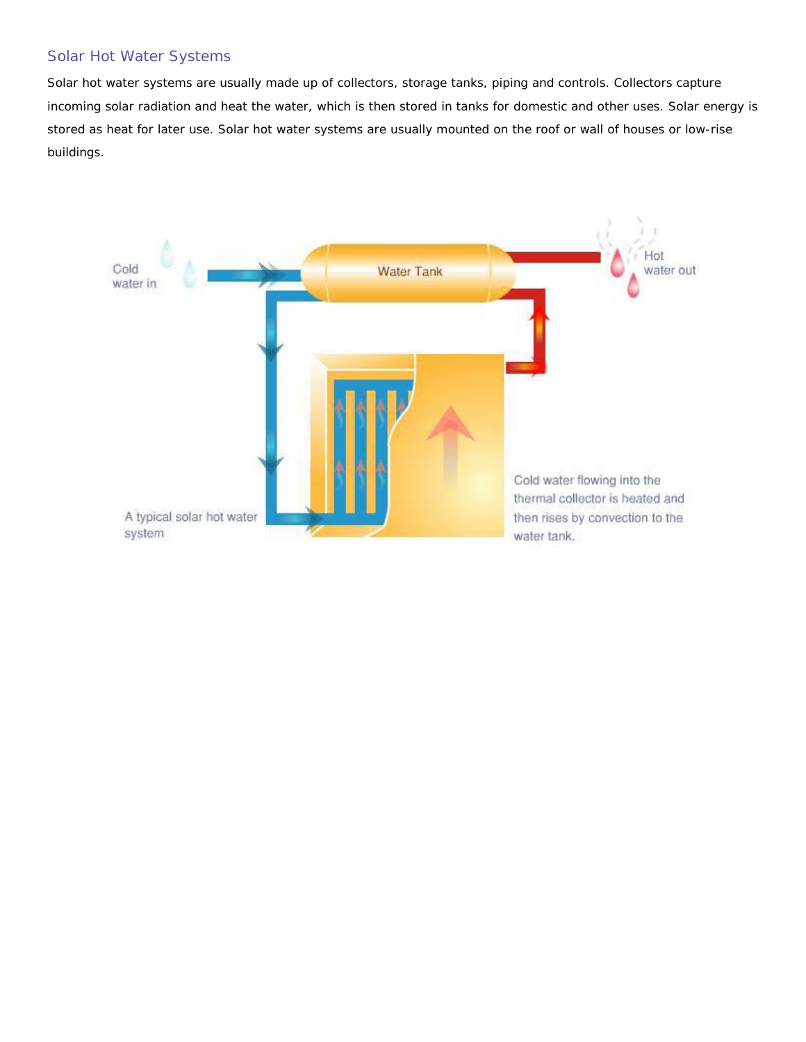## Solar Hot Water Systems

Solar hot water systems are usually made up of collectors, storage tanks, piping and controls. Collectors capture incoming solar radiation and heat the water, which is then stored in tanks for domestic and other uses. Solar energy is stored as heat for later use. Solar hot water systems are usually mounted on the roof or wall of houses or low-rise buildings.

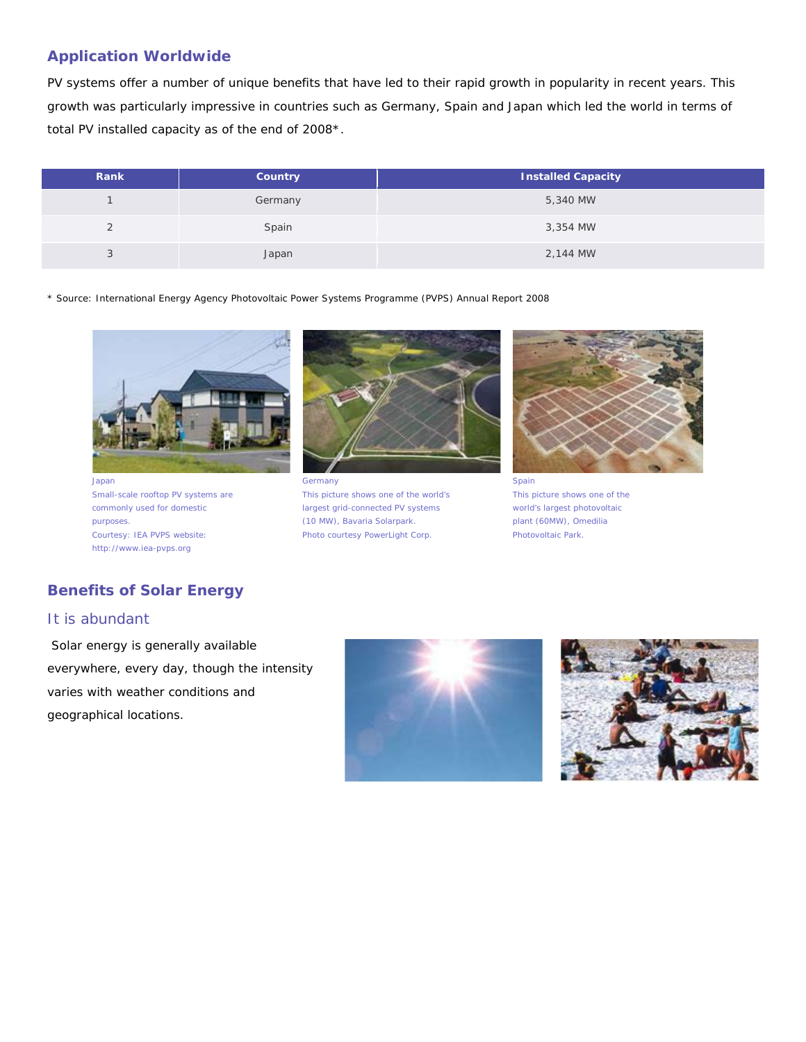### **Application Worldwide**

PV systems offer a number of unique benefits that have led to their rapid growth in popularity in recent years. This growth was particularly impressive in countries such as Germany, Spain and Japan which led the world in terms of total PV installed capacity as of the end of 2008\*.

| Rank | Country | <b>Installed Capacity</b> |
|------|---------|---------------------------|
|      | Germany | 5,340 MW                  |
|      | Spain   | 3,354 MW                  |
| ◡    | Japan   | 2,144 MW                  |

\* Source: International Energy Agency Photovoltaic Power Systems Programme (PVPS) Annual Report 2008



Japan Small-scale rooftop PV systems are commonly used for domestic purposes. Courtesy: IEA PVPS website: http://www.iea-pvps.org



**Germany** This picture shows one of the world's largest grid-connected PV systems (10 MW), Bavaria Solarpark. Photo courtesy PowerLight Corp.



Spain This picture shows one of the world's largest photovoltaic plant (60MW), Omedilia Photovoltaic Park.

# **Benefits of Solar Energy**

#### It is abundant

Solar energy is generally available everywhere, every day, though the intensity varies with weather conditions and geographical locations.



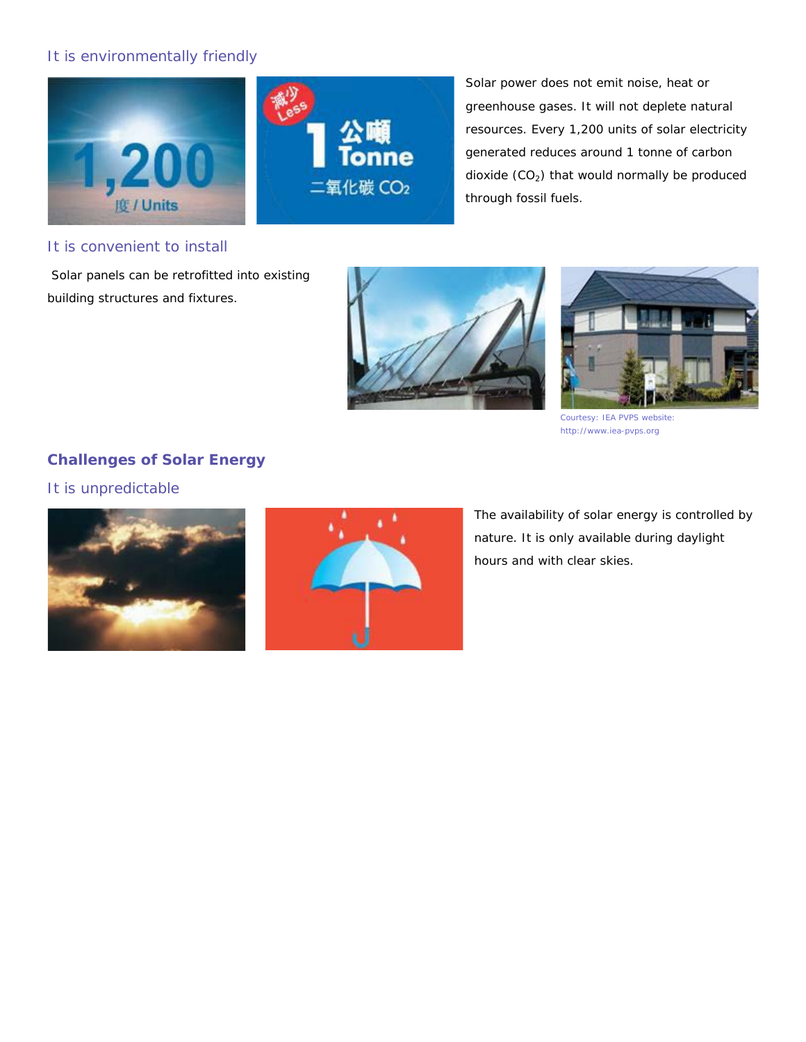# It is environmentally friendly





Solar power does not emit noise, heat or greenhouse gases. It will not deplete natural resources. Every 1,200 units of solar electricity generated reduces around 1 tonne of carbon dioxide  $(CO_2)$  that would normally be produced through fossil fuels.

#### It is convenient to install

Solar panels can be retrofitted into existing building structures and fixtures.





Courtesy: IEA PVPS website: http://www.iea-pvps.org

# **Challenges of Solar Energy**

It is unpredictable





The availability of solar energy is controlled by nature. It is only available during daylight hours and with clear skies.